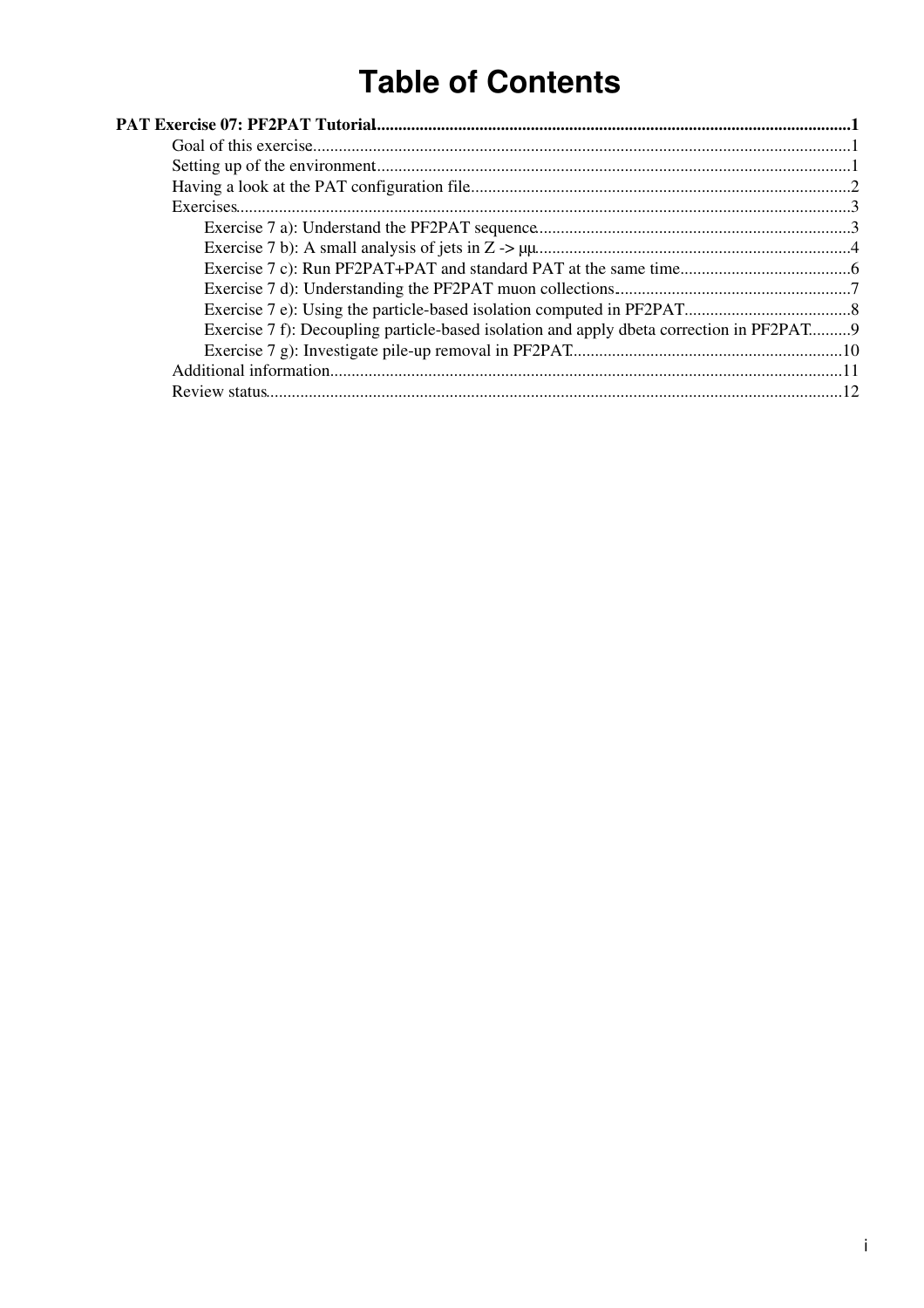# **Table of Contents**

| Exercise 7 f): Decoupling particle-based isolation and apply dbeta correction in PF2PAT9 |  |
|------------------------------------------------------------------------------------------|--|
|                                                                                          |  |
|                                                                                          |  |
|                                                                                          |  |
|                                                                                          |  |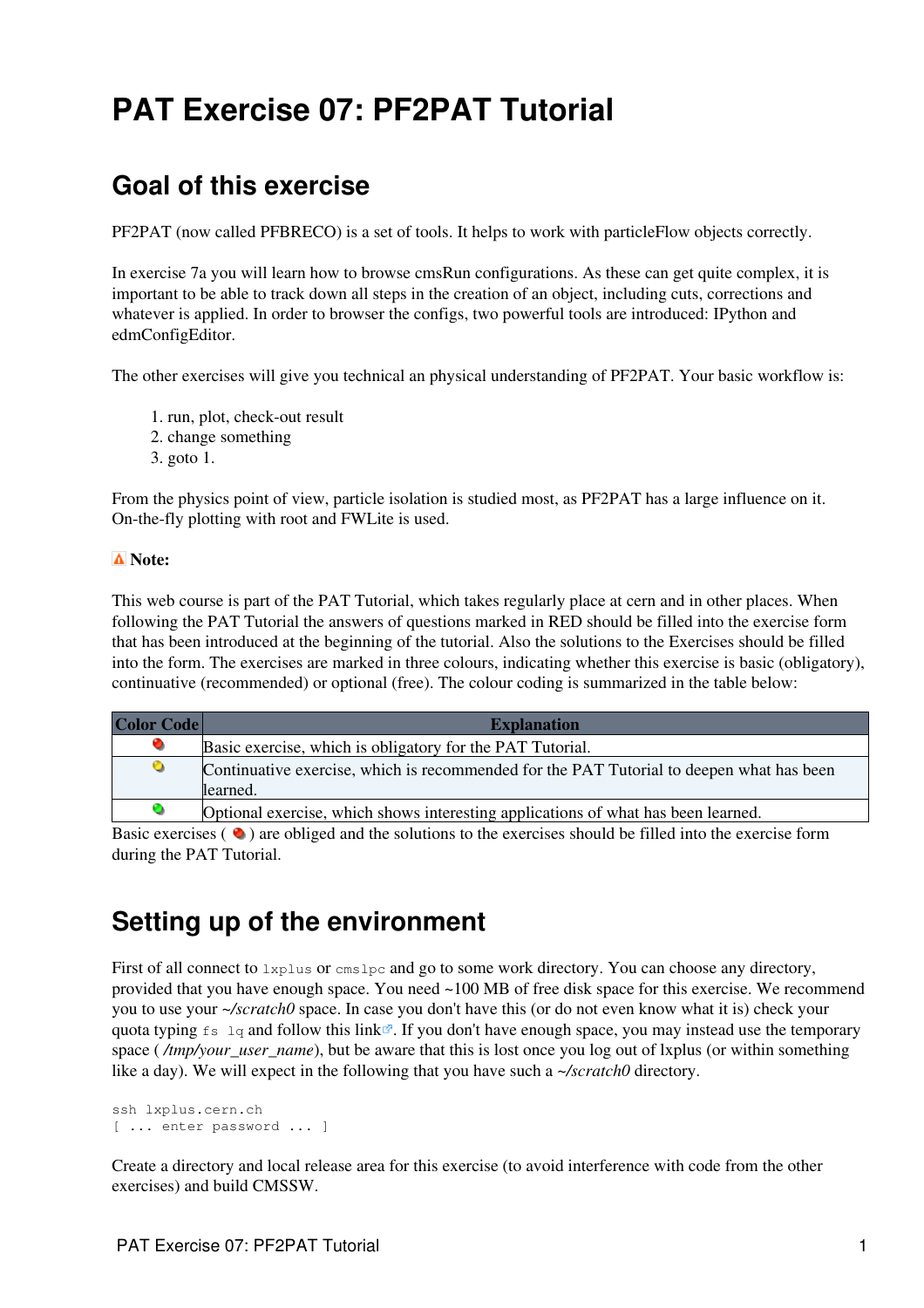# <span id="page-1-0"></span>**PAT Exercise 07: PF2PAT Tutorial**

## <span id="page-1-1"></span>**Goal of this exercise**

[PF2PAT](https://twiki.cern.ch/twiki/bin/view/CMSPublic/PF2PAT) (now called PFBRECO) is a set of tools. It helps to work with particleFlow objects correctly.

In exercise 7a you will learn how to browse cmsRun configurations. As these can get quite complex, it is important to be able to track down all steps in the creation of an object, including cuts, corrections and whatever is applied. In order to browser the configs, two powerful tools are introduced: IPython and edmConfigEditor.

The other exercises will give you technical an physical understanding of [PF2PAT.](https://twiki.cern.ch/twiki/bin/view/CMSPublic/PF2PAT) Your basic workflow is:

- 1. run, plot, check-out result
- 2. change something
- 3. goto 1.

From the physics point of view, particle isolation is studied most, as [PF2PAT](https://twiki.cern.ch/twiki/bin/view/CMSPublic/PF2PAT) has a large influence on it. On-the-fly plotting with root and FWLite is used.

#### **Note:**

This web course is part of the [PAT Tutorial,](https://twiki.cern.ch/twiki/bin/view/CMSPublic/WorkBookPATTutorial) which takes regularly place at cern and in other places. When following the PAT Tutorial the answers of questions marked in RED should be filled into the exercise form that has been introduced at the beginning of the tutorial. Also the solutions to the Exercises should be filled into the form. The exercises are marked in three colours, indicating whether this exercise is basic (obligatory), continuative (recommended) or optional (free). The colour coding is summarized in the table below:

| Color Code | <b>Explanation</b>                                                                       |  |  |  |
|------------|------------------------------------------------------------------------------------------|--|--|--|
| $\bullet$  | Basic exercise, which is obligatory for the PAT Tutorial.                                |  |  |  |
| $\bullet$  | Continuative exercise, which is recommended for the PAT Tutorial to deepen what has been |  |  |  |
|            | learned.                                                                                 |  |  |  |
| O          | Optional exercise, which shows interesting applications of what has been learned.        |  |  |  |

Basic exercises  $\left( \bullet \right)$  are obliged and the solutions to the exercises should be filled into the exercise form during the PAT Tutorial.

## <span id="page-1-2"></span>**Setting up of the environment**

First of all connect to  $\text{Lyp}_\text{us}$  or  $\text{cmslp}_\text{co}$  and go to some work directory. You can choose any directory, provided that you have enough space. You need ~100 MB of free disk space for this exercise. We recommend you to use your *~/scratch0* space. In case you don't have this (or do not even know what it is) check your quota typing  $f_s \log$  and follow [this link](https://cmsdoc.cern.ch/comp/help/doc/disk_space.shtml)  $\mathbb{R}$ . If you don't have enough space, you may instead use the temporary space (*/tmp/your\_user\_name*), but be aware that this is lost once you log out of lxplus (or within something like a day). We will expect in the following that you have such a *~/scratch0* directory.

```
ssh lxplus.cern.ch
[ ... enter password ... ]
```
Create a directory and local release area for this exercise (to avoid interference with code from the other exercises) and build CMSSW.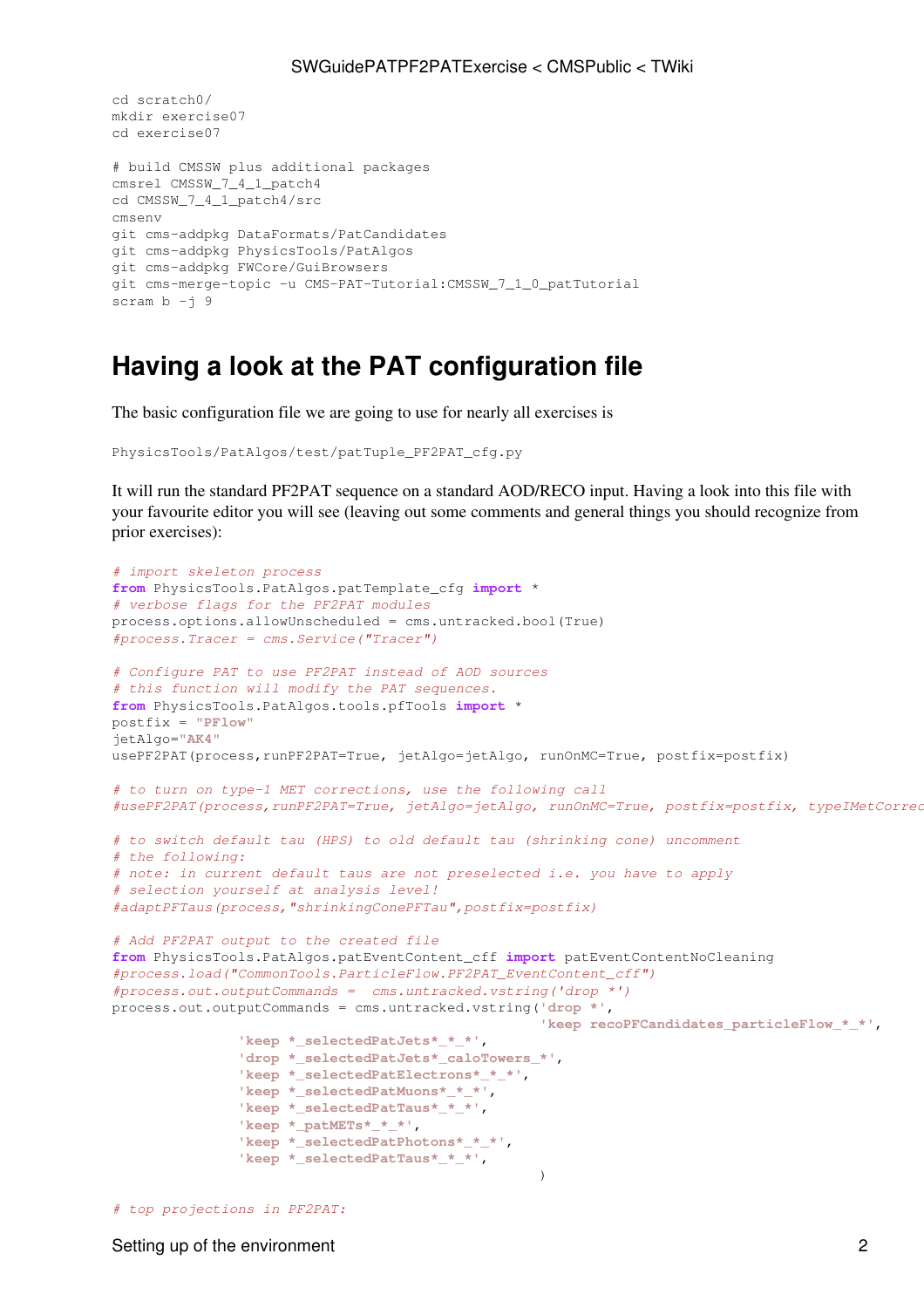```
cd scratch0/
mkdir exercise07
cd exercise07
# build CMSSW plus additional packages
cmsrel CMSSW_7_4_1_patch4
cd CMSSW_7_4_1_patch4/src 
cmsenv
git cms-addpkg DataFormats/PatCandidates 
git cms-addpkg PhysicsTools/PatAlgos
git cms-addpkg FWCore/GuiBrowsers
git cms-merge-topic -u CMS-PAT-Tutorial:CMSSW_7_1_0_patTutorial
scram b - j 9
```
## <span id="page-2-0"></span>**Having a look at the PAT configuration file**

The basic configuration file we are going to use for nearly all exercises is

```
PhysicsTools/PatAlgos/test/patTuple_PF2PAT_cfg.py
```
It will run the standard [PF2PAT](https://twiki.cern.ch/twiki/bin/view/CMSPublic/PF2PAT) sequence on a standard AOD/RECO input. Having a look into this file with your favourite editor you will see (leaving out some comments and general things you should recognize from prior exercises):

```
# import skeleton process
from PhysicsTools.PatAlgos.patTemplate_cfg import *
# verbose flags for the PF2PAT modules
process.options.allowUnscheduled = cms.untracked.bool(True)
#process.Tracer = cms.Service("Tracer")
# Configure PAT to use PF2PAT instead of AOD sources
# this function will modify the PAT sequences.
from PhysicsTools.PatAlgos.tools.pfTools import *
postfix = "PFlow"
jetAlgo="AK4"
usePF2PAT(process,runPF2PAT=True, jetAlgo=jetAlgo, runOnMC=True, postfix=postfix)
# to turn on type-1 MET corrections, use the following call
#usePF2PAT(process,runPF2PAT=True, jetAlgo=jetAlgo, runOnMC=True, postfix=postfix, typeIMetCorrections=True)
# to switch default tau (HPS) to old default tau (shrinking cone) uncomment
# the following:
# note: in current default taus are not preselected i.e. you have to apply
# selection yourself at analysis level!
#adaptPFTaus(process,"shrinkingConePFTau",postfix=postfix)
# Add PF2PAT output to the created file
from PhysicsTools.PatAlgos.patEventContent_cff import patEventContentNoCleaning
#process.load("CommonTools.ParticleFlow.PF2PAT_EventContent_cff")
#process.out.outputCommands = cms.untracked.vstring('drop *')
process.out.outputCommands = cms.untracked.vstring('drop *',
                                                  'keep recoPFCandidates_particleFlow_*_*',
               'keep *_selectedPatJets*_*_*',
               'drop *_selectedPatJets*_caloTowers_*',
               'keep *_selectedPatElectrons*_*_*',
               'keep *_selectedPatMuons*_*_*',
               'keep *_selectedPatTaus*_*_*',
               'keep *_patMETs*_*_*',
               'keep *_selectedPatPhotons*_*_*',
               'keep *_selectedPatTaus*_*_*',
)
```

```
# top projections in PF2PAT:
```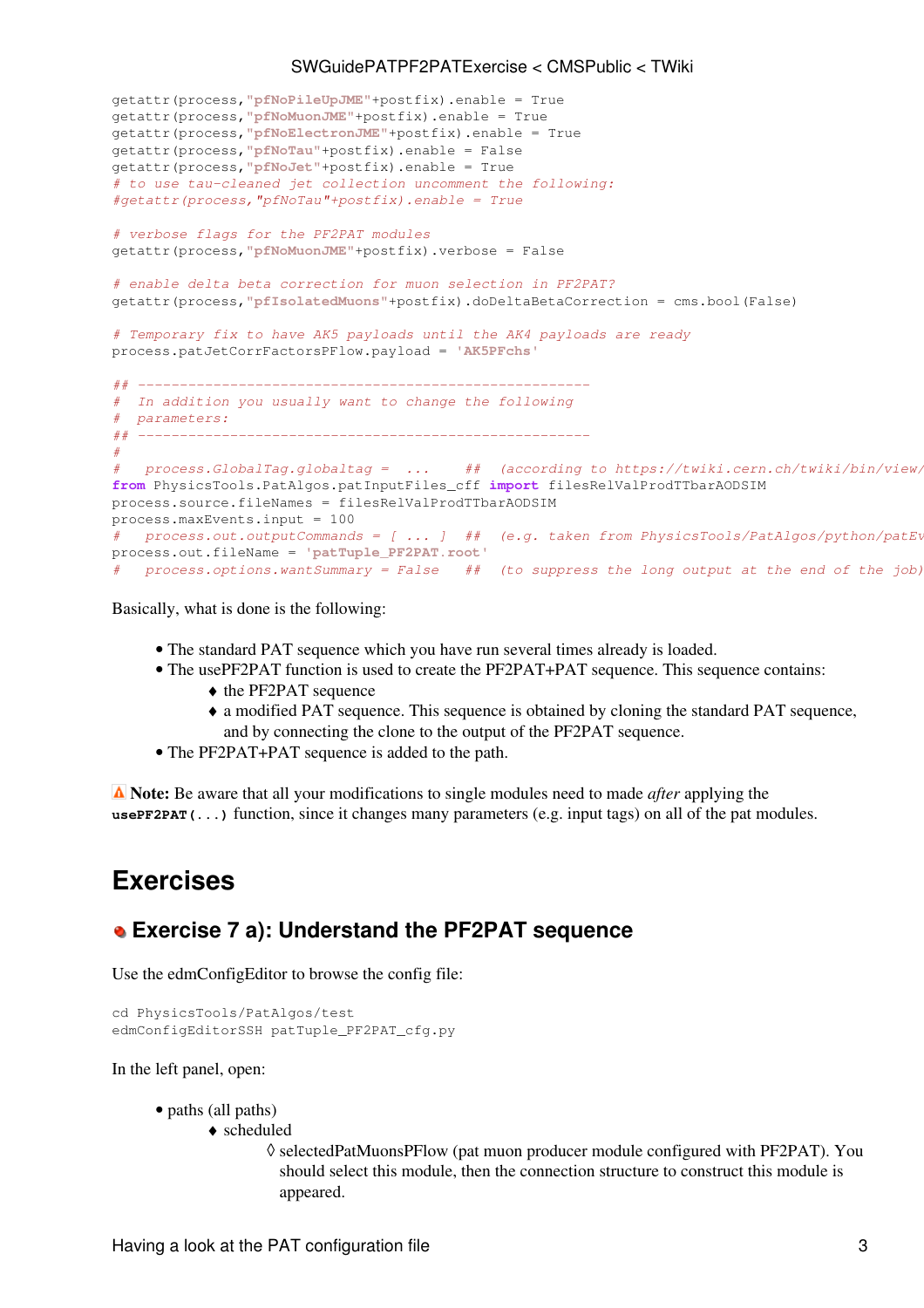```
getattr(process,"pfNoPileUpJME"+postfix).enable = True
getattr(process,"pfNoMuonJME"+postfix).enable = True
getattr(process,"pfNoElectronJME"+postfix).enable = True
getattr(process,"pfNoTau"+postfix).enable = False
getattr(process,"pfNoJet"+postfix).enable = True
# to use tau-cleaned jet collection uncomment the following:
#getattr(process,"pfNoTau"+postfix).enable = True
# verbose flags for the PF2PAT modules
getattr(process,"pfNoMuonJME"+postfix).verbose = False
# enable delta beta correction for muon selection in PF2PAT?
getattr(process,"pfIsolatedMuons"+postfix).doDeltaBetaCorrection = cms.bool(False)
# Temporary fix to have AK5 payloads until the AK4 payloads are ready
process.patJetCorrFactorsPFlow.payload = 'AK5PFchs'
## ------------------------------------------------------
# In addition you usually want to change the following
# parameters:
## ------------------------------------------------------
#
   process.GlobalTag.globaltag = ... ## (according to https://twiki.cern.ch/twiki/bin/view/
from PhysicsTools.PatAlgos.patInputFiles_cff import filesRelValProdTTbarAODSIM
process.source.fileNames = filesRelValProdTTbarAODSIM
process.maxEvents.input = 100
# process.out.outputCommands = [ ... ] ## (e.g. taken from PhysicsTools/PatAlgos/python/patEv
process.out.fileName = 'patTuple_PF2PAT.root'
# process.options.wantSummary = False ## (to suppress the long output at the end of the job)
```
Basically, what is done is the following:

- The standard PAT sequence which you have run several times already is loaded.
- The use[PF2PAT](https://twiki.cern.ch/twiki/bin/view/CMSPublic/PF2PAT) function is used to create the PF2PAT+PAT sequence. This sequence contains:
	- ♦ the [PF2PAT](https://twiki.cern.ch/twiki/bin/view/CMSPublic/PF2PAT) sequence
	- a modified PAT sequence. This sequence is obtained by cloning the standard PAT sequence, ♦ and by connecting the clone to the output of the [PF2PAT](https://twiki.cern.ch/twiki/bin/view/CMSPublic/PF2PAT) sequence.
- The [PF2PAT](https://twiki.cern.ch/twiki/bin/view/CMSPublic/PF2PAT)+PAT sequence is added to the path.

 **Note:** Be aware that all your modifications to single modules need to made *after* applying the **usePF2PAT(...)** function, since it changes many parameters (e.g. input tags) on all of the pat modules.

## <span id="page-3-0"></span>**Exercises**

### <span id="page-3-1"></span> **Exercise 7 a): Understand the [PF2PAT](https://twiki.cern.ch/twiki/bin/view/CMSPublic/PF2PAT) sequence**

Use the edmConfigEditor to browse the config file:

```
cd PhysicsTools/PatAlgos/test 
edmConfigEditorSSH patTuple_PF2PAT_cfg.py
```
In the left panel, open:

- paths (all paths)
	- scheduled ♦
		- selectedPatMuonsPFlow (pat muon producer module configured with [PF2PAT](https://twiki.cern.ch/twiki/bin/view/CMSPublic/PF2PAT)). You ◊ should select this module, then the connection structure to construct this module is appeared.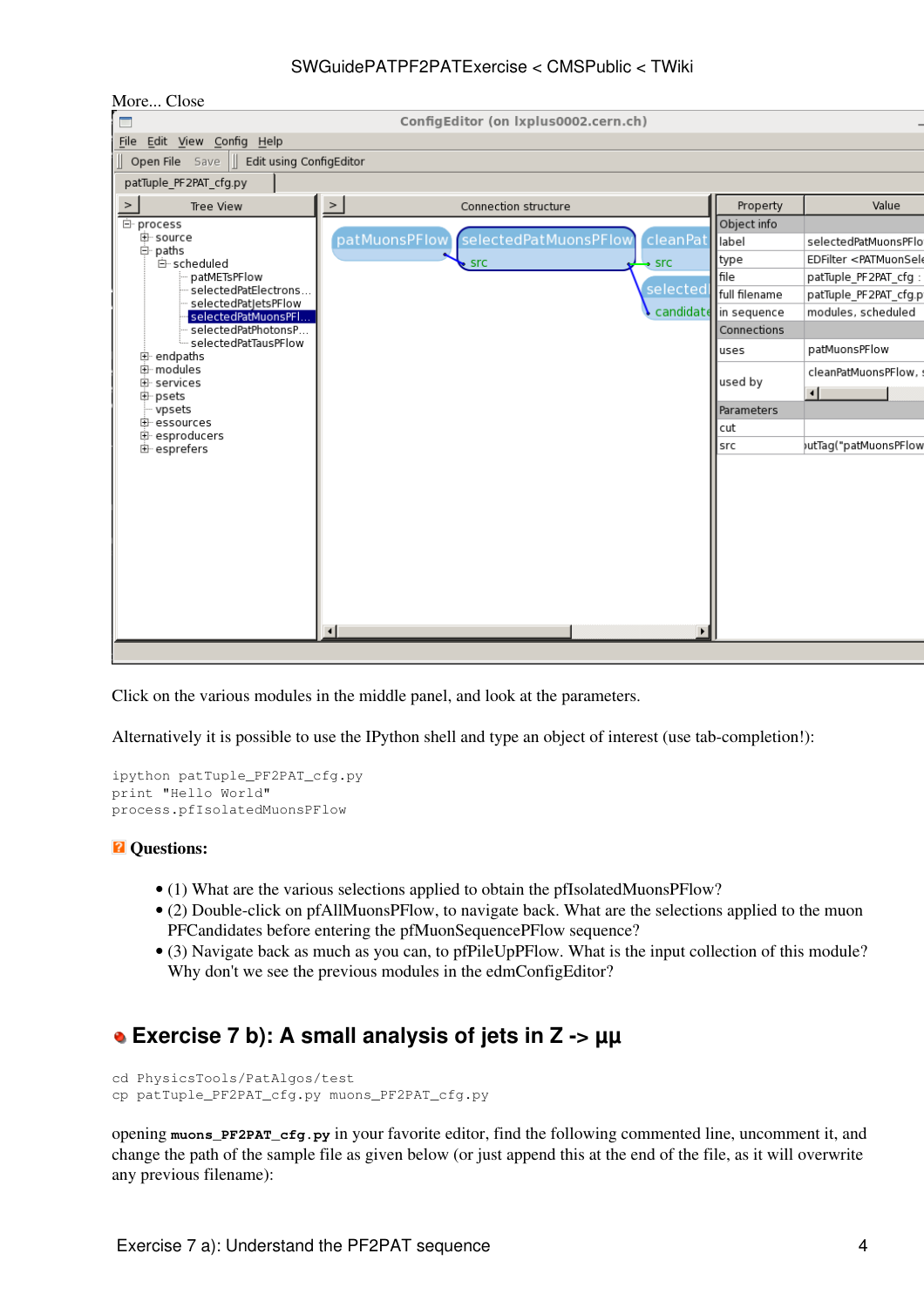| More Close                                    |               |                                      |                   |               |                                            |
|-----------------------------------------------|---------------|--------------------------------------|-------------------|---------------|--------------------------------------------|
| $\Box$                                        |               | ConfigEditor (on Ixplus0002.cern.ch) |                   |               |                                            |
| Edit <u>V</u> iew Config Help<br>File         |               |                                      |                   |               |                                            |
| Open File Save   Edit using ConfigEditor      |               |                                      |                   |               |                                            |
| patTuple_PF2PAT_cfg.py                        |               |                                      |                   |               |                                            |
| Tree View<br>$\, > \,$                        | $\geq$        | Connection structure                 |                   | Property      | Value                                      |
| 白· process                                    |               |                                      |                   | Object info   |                                            |
| 中· source                                     | patMuonsPFlow | selectedPatMuonsPFlow                | cleanPat          | label         | selectedPatMuonsPFIc                       |
| 白 paths<br>白 scheduled                        |               | $\sqrt{2}$ src                       | $\rightarrow$ src | type          | EDFilter <patmuonsel< td=""></patmuonsel<> |
| patMETsPFlow                                  |               |                                      |                   | file          | patTuple_PF2PAT_cfg:                       |
| selectedPatElectrons                          |               |                                      | selected          | full filename | patTuple_PF2PAT_cfg.p                      |
| selectedPatJetsPFlow -<br>selectedPatMuonsPFl |               |                                      | candidate         | In sequence   | modules, scheduled                         |
| selectedPatPhotonsP                           |               |                                      |                   | Connections   |                                            |
| selectedPatTausPFlow<br>中 endpaths            |               |                                      |                   | uses          | patMuonsPFlow                              |
| 由 modules                                     |               |                                      |                   |               | cleanPatMuonsPFlow,                        |
| 由 services                                    |               |                                      |                   | used by       | ⊣                                          |
| 中·psets<br>vpsets                             |               |                                      |                   | Parameters    |                                            |
| 由 essources                                   |               |                                      |                   | cut           |                                            |
| 中 esproducers                                 |               |                                      |                   | src           | utTag("patMuonsPFlov(                      |
| 由 esprefers                                   |               |                                      |                   |               |                                            |
|                                               |               |                                      |                   |               |                                            |
|                                               |               |                                      |                   |               |                                            |
|                                               |               |                                      |                   |               |                                            |
|                                               |               |                                      |                   |               |                                            |
|                                               |               |                                      |                   |               |                                            |
|                                               |               |                                      |                   |               |                                            |
|                                               |               |                                      |                   |               |                                            |
|                                               |               |                                      |                   |               |                                            |
|                                               |               |                                      |                   |               |                                            |
|                                               | ⊣             |                                      |                   |               |                                            |
|                                               |               |                                      |                   |               |                                            |

Click on the various modules in the middle panel, and look at the parameters.

Alternatively it is possible to use the IPython shell and type an object of interest (use tab-completion!):

```
ipython patTuple_PF2PAT_cfg.py
print "Hello World"
process.pfIsolatedMuonsPFlow
```
#### *Q* Questions:

- (1) What are the various selections applied to obtain the pfIsolatedMuonsPFlow?
- (2) Double-click on pfAllMuonsPFlow, to navigate back. What are the selections applied to the muon PFCandidates before entering the pfMuonSequencePFlow sequence?
- (3) Navigate back as much as you can, to pfPileUpPFlow. What is the input collection of this module? Why don't we see the previous modules in the edmConfigEditor?

## <span id="page-4-0"></span> **Exercise 7 b): A small analysis of jets in Z -> µµ**

```
cd PhysicsTools/PatAlgos/test 
cp patTuple_PF2PAT_cfg.py muons_PF2PAT_cfg.py
```
opening **muons\_PF2PAT\_cfg.py** in your favorite editor, find the following commented line, uncomment it, and change the path of the sample file as given below (or just append this at the end of the file, as it will overwrite any previous filename):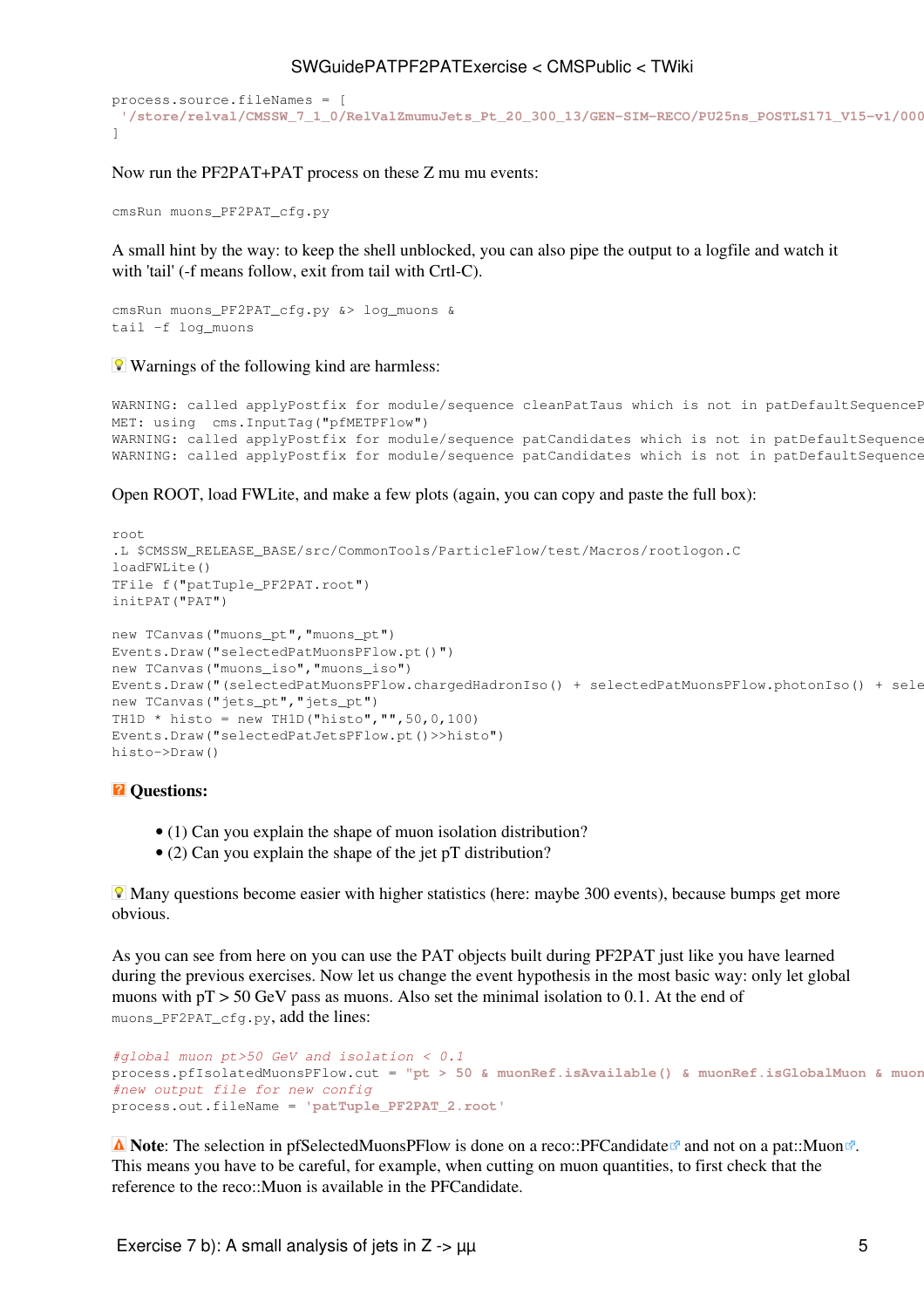```
process.source.fileNames = [ 
 '/store/relval/CMSSW_7_1_0/RelValZmumuJets_Pt_20_300_13/GEN-SIM-RECO/PU25ns_POSTLS171_V15-v1/00000/42D4F135-ECFE-E311-813B-0026189438D3.root'
]
```
Now run the [PF2PAT](https://twiki.cern.ch/twiki/bin/view/CMSPublic/PF2PAT)+PAT process on these Z mu mu events:

cmsRun muons\_PF2PAT\_cfg.py

A small hint by the way: to keep the shell unblocked, you can also pipe the output to a logfile and watch it with 'tail' (-f means follow, exit from tail with Crtl-C).

```
cmsRun muons_PF2PAT_cfg.py &> log_muons &
tail -f log_muons
```
**Warnings of the following kind are harmless:** 

```
WARNING: called applyPostfix for module/sequence cleanPatTaus which is not in patDefaultSequenceP
MET: using cms.InputTag("pfMETPFlow")
WARNING: called applyPostfix for module/sequence patCandidates which is not in patDefaultSequence
WARNING: called applyPostfix for module/sequence patCandidates which is not in patDefaultSequence
```
Open ROOT, load FWLite, and make a few plots (again, you can copy and paste the full box):

```
root
.L $CMSSW_RELEASE_BASE/src/CommonTools/ParticleFlow/test/Macros/rootlogon.C
loadFWLite()
TFile f("patTuple_PF2PAT.root")
initPAT("PAT")
new TCanvas("muons_pt","muons_pt")
Events.Draw("selectedPatMuonsPFlow.pt()")
new TCanvas("muons_iso","muons_iso")
Events.Draw("(selectedPatMuonsPFlow.chargedHadronIso() + selectedPatMuonsPFlow.photonIso() + sele
new TCanvas("jets_pt","jets_pt")
TH1D * histo = new TH1D("histo","", 50, 0, 100)
Events.Draw("selectedPatJetsPFlow.pt()>>histo")
histo->Draw()
```
#### $\blacksquare$  Questions:

- (1) Can you explain the shape of muon isolation distribution?
- (2) Can you explain the shape of the jet pT distribution?

**Many questions become easier with higher statistics (here: maybe 300 events), because bumps get more** obvious.

As you can see from here on you can use the PAT objects built during [PF2PAT](https://twiki.cern.ch/twiki/bin/view/CMSPublic/PF2PAT) just like you have learned during the previous exercises. Now let us change the event hypothesis in the most basic way: only let global muons with  $pT > 50$  [GeV](https://twiki.cern.ch/twiki/bin/edit/CMSPublic/GeV?topicparent=CMSPublic.SWGuidePATPF2PATExercise;nowysiwyg=1) pass as muons. Also set the minimal isolation to 0.1. At the end of muons\_PF2PAT\_cfg.py, add the lines:

```
#global muon pt>50 GeV and isolation < 0.1
process.pfIsolatedMuonsPFlow.cut = "pt > 50 & muonRef.isAvailable() & muonRef.isGlobalMuon & muon
#new output file for new config
process.out.fileName = 'patTuple_PF2PAT_2.root'
```
**A** Note: The selection in pfSelectedMuonsPFlow is done on a reco::PFCandidate<sup>r</sup> and not on a [pat::Muon](http://cmssdt.cern.ch/SDT/doxygen/CMSSW_3_8_4/doc/html/d6/d13/classpat_1_1Muon.html)<sup>*a*</sup>. This means you have to be careful, for example, when cutting on muon quantities, to first check that the reference to the reco::Muon is available in the PFCandidate.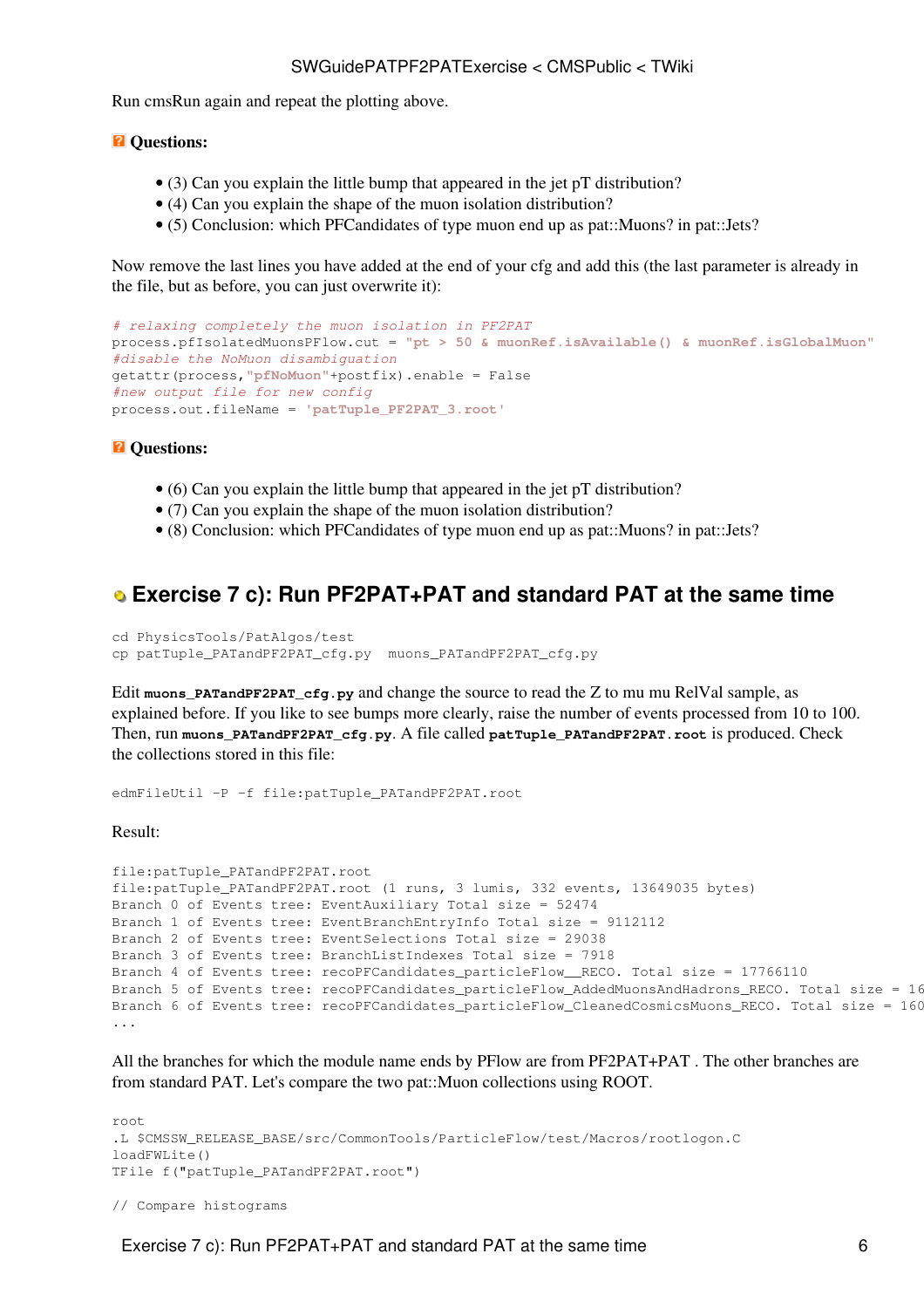Run cmsRun again and repeat the plotting above.

#### *Q* Questions:

- (3) Can you explain the little bump that appeared in the jet pT distribution?
- (4) Can you explain the shape of the muon isolation distribution?
- (5) Conclusion: which PFCandidates of type muon end up as pat::Muons? in pat::Jets?

Now remove the last lines you have added at the end of your cfg and add this (the last parameter is already in the file, but as before, you can just overwrite it):

```
# relaxing completely the muon isolation in PF2PAT
process.pfIsolatedMuonsPFlow.cut = "pt > 50 & muonRef.isAvailable() & muonRef.isGlobalMuon"
#disable the NoMuon disambiguation
getattr(process,"pfNoMuon"+postfix).enable = False 
#new output file for new config
process.out.fileName = 'patTuple_PF2PAT_3.root'
```
#### *R* Questions:

- (6) Can you explain the little bump that appeared in the jet pT distribution?
- (7) Can you explain the shape of the muon isolation distribution?
- (8) Conclusion: which PFCandidates of type muon end up as pat::Muons? in pat::Jets?

### <span id="page-6-0"></span> **Exercise 7 c): Run [PF2PAT+](https://twiki.cern.ch/twiki/bin/view/CMSPublic/PF2PAT)PAT and standard PAT at the same time**

```
cd PhysicsTools/PatAlgos/test 
cp patTuple_PATandPF2PAT_cfg.py muons_PATandPF2PAT_cfg.py
```
Edit **muons\_PATandPF2PAT\_cfg.py** and change the source to read the Z to mu mu [RelVal](https://twiki.cern.ch/twiki/bin/edit/CMSPublic/RelVal?topicparent=CMSPublic.SWGuidePATPF2PATExercise;nowysiwyg=1) sample, as explained before. If you like to see bumps more clearly, raise the number of events processed from 10 to 100. Then, run **muons\_PATandPF2PAT\_cfg.py**. A file called **patTuple\_PATandPF2PAT.root** is produced. Check the collections stored in this file:

edmFileUtil -P -f file:patTuple\_PATandPF2PAT.root

Result:

```
file:patTuple_PATandPF2PAT.root
file:patTuple_PATandPF2PAT.root (1 runs, 3 lumis, 332 events, 13649035 bytes)
Branch 0 of Events tree: EventAuxiliary Total size = 52474
Branch 1 of Events tree: EventBranchEntryInfo Total size = 9112112
Branch 2 of Events tree: EventSelections Total size = 29038
Branch 3 of Events tree: BranchListIndexes Total size = 7918
Branch 4 of Events tree: recoPFCandidates_particleFlow_RECO. Total size = 17766110
Branch 5 of Events tree: recoPFCandidates_particleFlow_AddedMuonsAndHadrons_RECO. Total size = 16
Branch 6 of Events tree: recoPFCandidates_particleFlow_CleanedCosmicsMuons_RECO. Total size = 160
...
```
All the branches for which the module name ends by PFlow are from [PF2PAT+](https://twiki.cern.ch/twiki/bin/view/CMSPublic/PF2PAT)PAT. The other branches are from standard PAT. Let's compare the two pat::Muon collections using ROOT.

```
root
.L $CMSSW_RELEASE_BASE/src/CommonTools/ParticleFlow/test/Macros/rootlogon.C
loadFWLite()
TFile f("patTuple_PATandPF2PAT.root")
```

```
// Compare histograms
```
Exercise 7 c): Run PF2PAT+PAT and standard PAT at the same time 6 6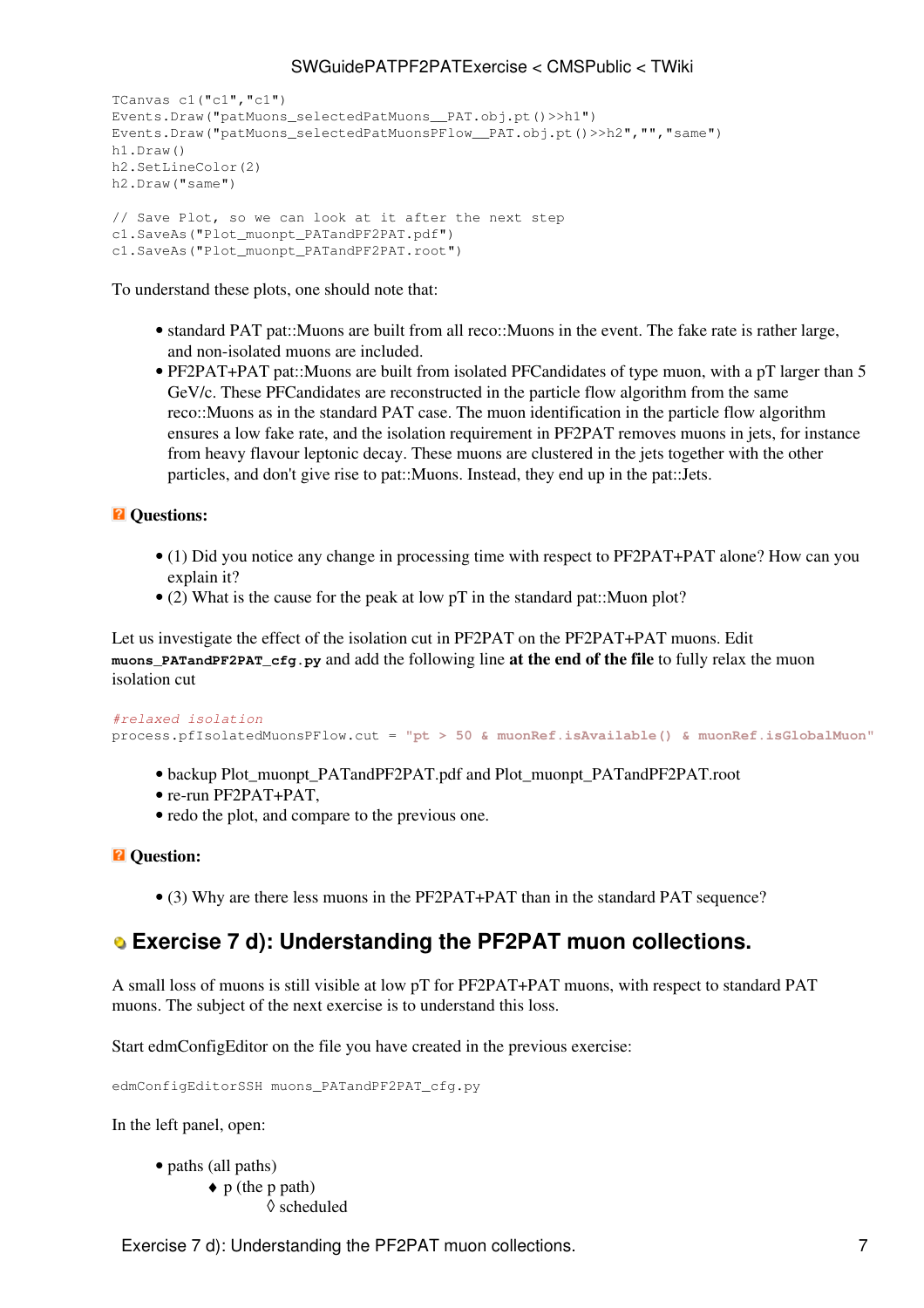```
TCanvas c1("c1","c1")
Events.Draw("patMuons_selectedPatMuons__PAT.obj.pt()>>h1")
Events.Draw("patMuons_selectedPatMuonsPFlow__PAT.obj.pt()>>h2","","same")
h1.Draw()
h2.SetLineColor(2)
h2.Draw("same")
// Save Plot, so we can look at it after the next step
c1.SaveAs("Plot_muonpt_PATandPF2PAT.pdf")
c1.SaveAs("Plot_muonpt_PATandPF2PAT.root")
```
To understand these plots, one should note that:

- standard PAT pat::Muons are built from all reco::Muons in the event. The fake rate is rather large, and non-isolated muons are included.
- [PF2PAT](https://twiki.cern.ch/twiki/bin/view/CMSPublic/PF2PAT)+PAT pat:: Muons are built from isolated PFCandidates of type muon, with a pT larger than 5 [GeV/](https://twiki.cern.ch/twiki/bin/edit/CMSPublic/GeV?topicparent=CMSPublic.SWGuidePATPF2PATExercise;nowysiwyg=1)c. These PFCandidates are reconstructed in the particle flow algorithm from the same reco::Muons as in the standard PAT case. The muon identification in the particle flow algorithm ensures a low fake rate, and the isolation requirement in [PF2PAT](https://twiki.cern.ch/twiki/bin/view/CMSPublic/PF2PAT) removes muons in jets, for instance from heavy flavour leptonic decay. These muons are clustered in the jets together with the other particles, and don't give rise to pat::Muons. Instead, they end up in the pat::Jets.

#### $\overline{a}$  Ouestions:

- (1) Did you notice any change in processing time with respect to [PF2PAT+](https://twiki.cern.ch/twiki/bin/view/CMSPublic/PF2PAT)PAT alone? How can you explain it?
- (2) What is the cause for the peak at low pT in the standard pat::Muon plot?

Let us investigate the effect of the isolation cut in [PF2PAT](https://twiki.cern.ch/twiki/bin/view/CMSPublic/PF2PAT) on the PF2PAT+PAT muons. Edit **muons\_PATandPF2PAT\_cfg.py** and add the following line **at the end of the file** to fully relax the muon isolation cut

```
#relaxed isolation
```

```
process.pfIsolatedMuonsPFlow.cut = "pt > 50 & muonRef.isAvailable() & muonRef.isGlobalMuon"
```
- backup Plot\_muonpt\_PATandPF2PAT.pdf and Plot\_muonpt\_PATandPF2PAT.root
- re-run [PF2PAT](https://twiki.cern.ch/twiki/bin/view/CMSPublic/PF2PAT)+PAT.
- redo the plot, and compare to the previous one.

#### $\overline{P}$  Question:

• (3) Why are there less muons in the [PF2PAT+](https://twiki.cern.ch/twiki/bin/view/CMSPublic/PF2PAT)PAT than in the standard PAT sequence?

### <span id="page-7-0"></span> **Exercise 7 d): Understanding the [PF2PAT](https://twiki.cern.ch/twiki/bin/view/CMSPublic/PF2PAT) muon collections.**

A small loss of muons is still visible at low pT for [PF2PAT+](https://twiki.cern.ch/twiki/bin/view/CMSPublic/PF2PAT)PAT muons, with respect to standard PAT muons. The subject of the next exercise is to understand this loss.

Start edmConfigEditor on the file you have created in the previous exercise:

edmConfigEditorSSH muons PATandPF2PAT cfg.py

In the left panel, open:

• paths (all paths) p (the p path) ♦ ◊ scheduled

Exercise 7 d): Understanding the PF2PAT muon collections. 7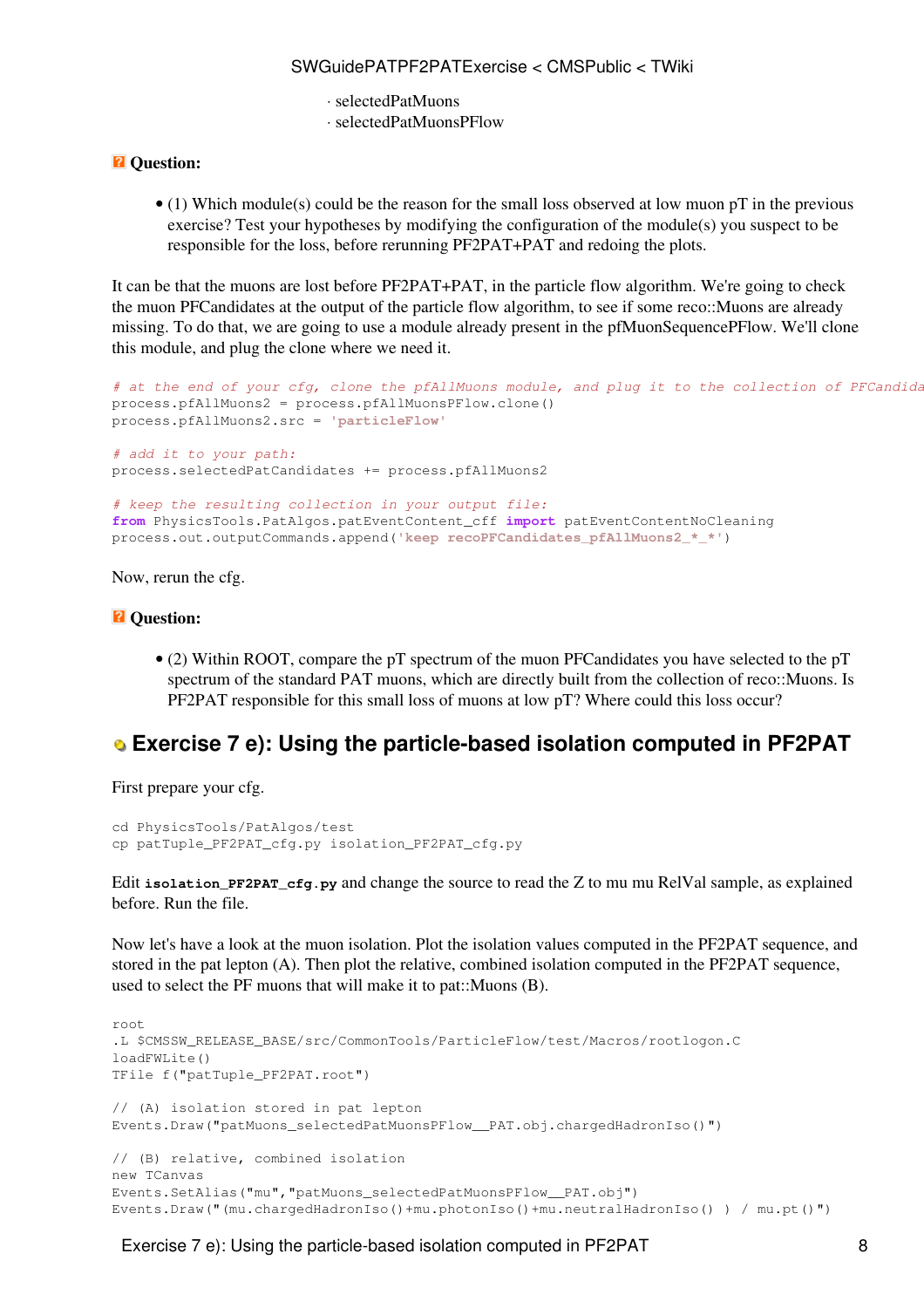- ⋅ selectedPatMuons
- ⋅ selectedPatMuonsPFlow

#### *Q* Ouestion:

• (1) Which module(s) could be the reason for the small loss observed at low muon pT in the previous exercise? Test your hypotheses by modifying the configuration of the module(s) you suspect to be responsible for the loss, before rerunning [PF2PAT](https://twiki.cern.ch/twiki/bin/view/CMSPublic/PF2PAT)+PAT and redoing the plots.

It can be that the muons are lost before [PF2PAT](https://twiki.cern.ch/twiki/bin/view/CMSPublic/PF2PAT)+PAT, in the particle flow algorithm. We're going to check the muon PFCandidates at the output of the particle flow algorithm, to see if some reco::Muons are already missing. To do that, we are going to use a module already present in the pfMuonSequencePFlow. We'll clone this module, and plug the clone where we need it.

```
# at the end of your cfg, clone the pfAllMuons module, and plug it to the collection of PFCandidates from RECO:
process.pfAllMuons2 = process.pfAllMuonsPFlow.clone() 
process.pfAllMuons2.src = 'particleFlow'
# add it to your path: 
process.selectedPatCandidates += process.pfAllMuons2
# keep the resulting collection in your output file: 
from PhysicsTools.PatAlgos.patEventContent_cff import patEventContentNoCleaning 
process.out.outputCommands.append('keep recoPFCandidates_pfAllMuons2_*_*')
```
Now, rerun the cfg.

#### *<u>R* Question:</u>

• (2) Within ROOT, compare the pT spectrum of the muon PFCandidates you have selected to the pT spectrum of the standard PAT muons, which are directly built from the collection of reco::Muons. Is [PF2PAT](https://twiki.cern.ch/twiki/bin/view/CMSPublic/PF2PAT) responsible for this small loss of muons at low pT? Where could this loss occur?

### <span id="page-8-0"></span> **Exercise 7 e): Using the particle-based isolation computed in [PF2PAT](https://twiki.cern.ch/twiki/bin/view/CMSPublic/PF2PAT)**

First prepare your cfg.

```
cd PhysicsTools/PatAlgos/test 
cp patTuple_PF2PAT_cfg.py isolation_PF2PAT_cfg.py
```
Edit **isolation\_PF2PAT\_cfg.py** and change the source to read the Z to mu mu [RelVal](https://twiki.cern.ch/twiki/bin/edit/CMSPublic/RelVal?topicparent=CMSPublic.SWGuidePATPF2PATExercise;nowysiwyg=1) sample, as explained before. Run the file.

Now let's have a look at the muon isolation. Plot the isolation values computed in the [PF2PAT](https://twiki.cern.ch/twiki/bin/view/CMSPublic/PF2PAT) sequence, and stored in the pat lepton (A). Then plot the relative, combined isolation computed in the [PF2PAT](https://twiki.cern.ch/twiki/bin/view/CMSPublic/PF2PAT) sequence, used to select the PF muons that will make it to pat::Muons (B).

```
root
.L $CMSSW_RELEASE_BASE/src/CommonTools/ParticleFlow/test/Macros/rootlogon.C
loadFWLite()
TFile f("patTuple_PF2PAT.root")
// (A) isolation stored in pat lepton
Events.Draw("patMuons_selectedPatMuonsPFlow__PAT.obj.chargedHadronIso()")
// (B) relative, combined isolation
new TCanvas
Events.SetAlias("mu","patMuons_selectedPatMuonsPFlow__PAT.obj")
Events.Draw("(mu.chargedHadronIso()+mu.photonIso()+mu.neutralHadronIso() ) / mu.pt()")
```
Exercise 7 e): Using the particle-based isolation computed in PF2PAT 8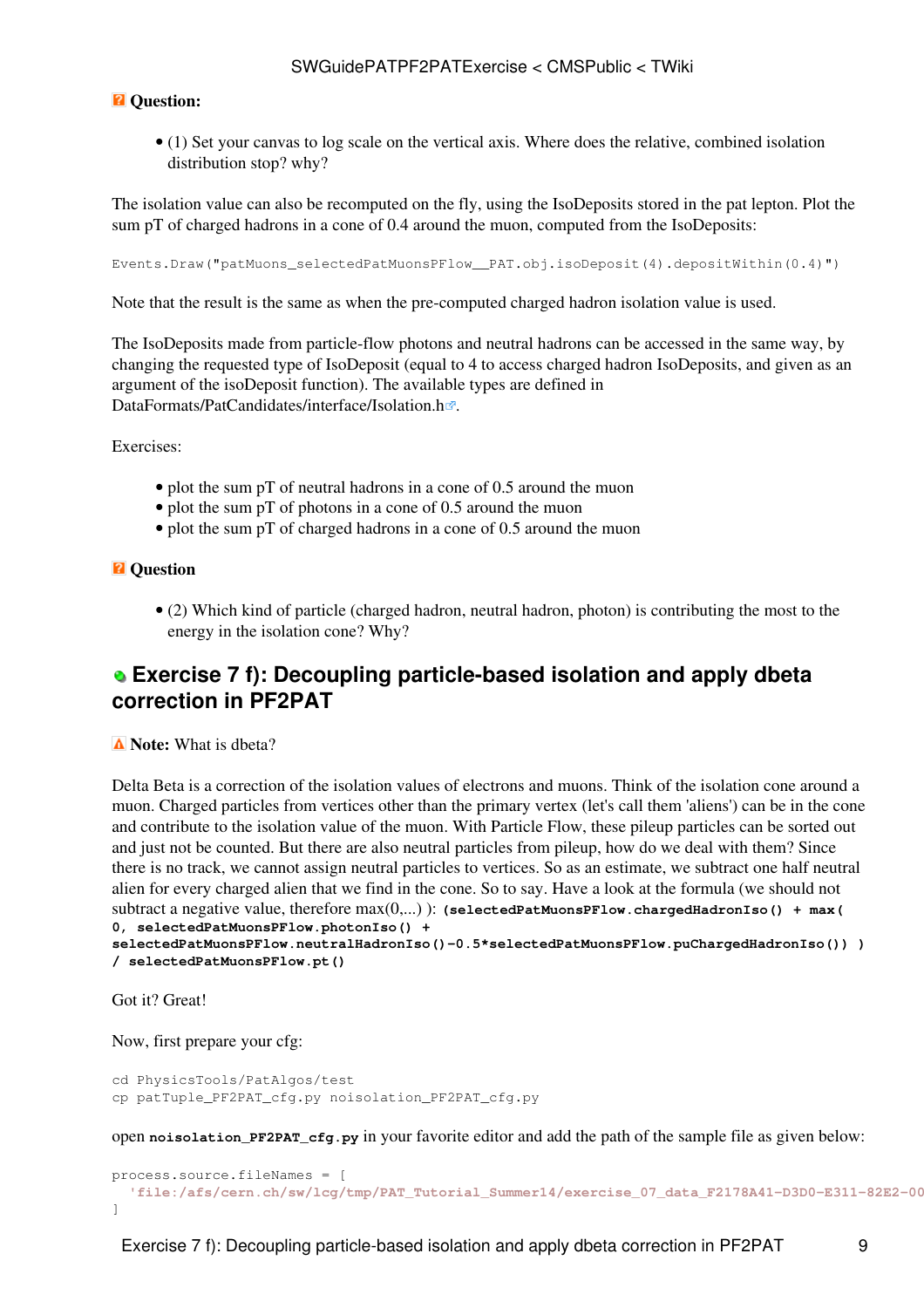#### *Q* Ouestion:

• (1) Set your canvas to log scale on the vertical axis. Where does the relative, combined isolation distribution stop? why?

The isolation value can also be recomputed on the fly, using the [IsoDeposits](https://twiki.cern.ch/twiki/bin/edit/CMSPublic/IsoDeposits?topicparent=CMSPublic.SWGuidePATPF2PATExercise;nowysiwyg=1) stored in the pat lepton. Plot the sum pT of charged hadrons in a cone of 0.4 around the muon, computed from the [IsoDeposits](https://twiki.cern.ch/twiki/bin/edit/CMSPublic/IsoDeposits?topicparent=CMSPublic.SWGuidePATPF2PATExercise;nowysiwyg=1):

Events.Draw("patMuons\_selectedPatMuonsPFlow\_\_PAT.obj.isoDeposit(4).depositWithin(0.4)")

Note that the result is the same as when the pre-computed charged hadron isolation value is used.

The [IsoDeposits](https://twiki.cern.ch/twiki/bin/edit/CMSPublic/IsoDeposits?topicparent=CMSPublic.SWGuidePATPF2PATExercise;nowysiwyg=1) made from particle-flow photons and neutral hadrons can be accessed in the same way, by changing the requested type of [IsoDeposit](https://twiki.cern.ch/twiki/bin/edit/CMSPublic/IsoDeposit?topicparent=CMSPublic.SWGuidePATPF2PATExercise;nowysiwyg=1) (equal to 4 to access charged hadron [IsoDeposits,](https://twiki.cern.ch/twiki/bin/edit/CMSPublic/IsoDeposits?topicparent=CMSPublic.SWGuidePATPF2PATExercise;nowysiwyg=1) and given as an argument of the isoDeposit function). The available types are defined in [DataFormats/PatCandidates/interface/Isolation.h](https://github.com/cms-sw/cmssw/tree/CMSSW_7_4_1_patch4/DataFormats/PatCandidates/interface/Isolation.h) $\Phi$ .

Exercises:

- plot the sum pT of neutral hadrons in a cone of 0.5 around the muon
- plot the sum pT of photons in a cone of 0.5 around the muon
- plot the sum pT of charged hadrons in a cone of 0.5 around the muon

#### *Q* Question

(2) Which kind of particle (charged hadron, neutral hadron, photon) is contributing the most to the • energy in the isolation cone? Why?

### <span id="page-9-0"></span> **Exercise 7 f): Decoupling particle-based isolation and apply dbeta correction in [PF2PAT](https://twiki.cern.ch/twiki/bin/view/CMSPublic/PF2PAT)**

*A* Note: What is dbeta?

Delta Beta is a correction of the isolation values of electrons and muons. Think of the isolation cone around a muon. Charged particles from vertices other than the primary vertex (let's call them 'aliens') can be in the cone and contribute to the isolation value of the muon. With Particle Flow, these pileup particles can be sorted out and just not be counted. But there are also neutral particles from pileup, how do we deal with them? Since there is no track, we cannot assign neutral particles to vertices. So as an estimate, we subtract one half neutral alien for every charged alien that we find in the cone. So to say. Have a look at the formula (we should not subtract a negative value, therefore max(0,...) ): **(selectedPatMuonsPFlow.chargedHadronIso() + max( 0, selectedPatMuonsPFlow.photonIso() +**

**selectedPatMuonsPFlow.neutralHadronIso()-0.5\*selectedPatMuonsPFlow.puChargedHadronIso()) ) / selectedPatMuonsPFlow.pt()**

Got it? Great!

Now, first prepare your cfg:

```
cd PhysicsTools/PatAlgos/test 
cp patTuple_PF2PAT_cfg.py noisolation_PF2PAT_cfg.py
```
open **noisolation\_PF2PAT\_cfg.py** in your favorite editor and add the path of the sample file as given below:

```
process.source.fileNames = [ 
  'file:/afs/cern.ch/sw/lcg/tmp/PAT_Tutorial_Summer14/exercise_07_data_F2178A41-D3D0-E311-82E2-0026189437FE.root'
]
```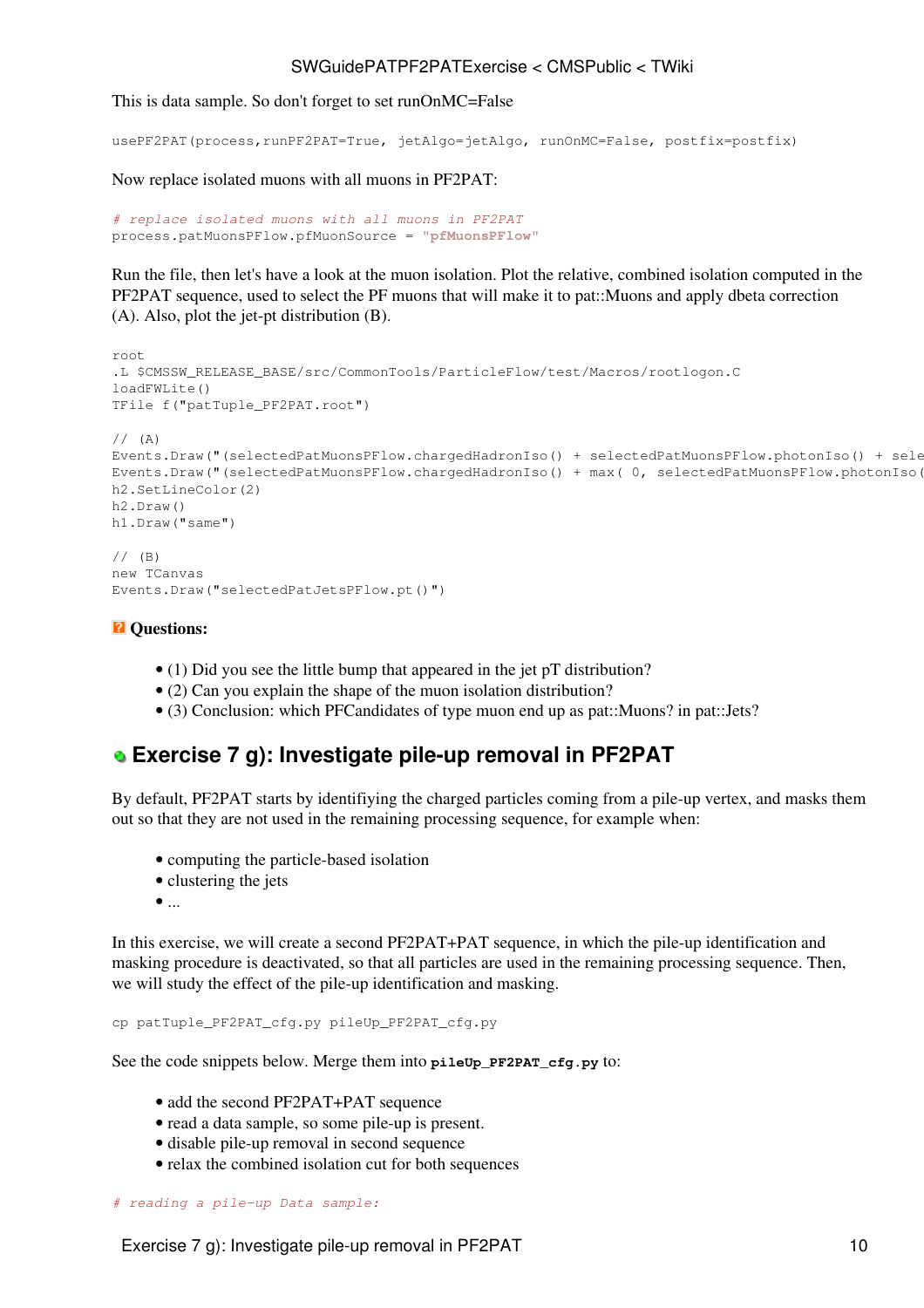This is data sample. So don't forget to set runOnMC=False

usePF2PAT(process,runPF2PAT=True, jetAlgo=jetAlgo, runOnMC=False, postfix=postfix)

Now replace isolated muons with all muons in [PF2PAT:](https://twiki.cern.ch/twiki/bin/view/CMSPublic/PF2PAT)

```
# replace isolated muons with all muons in PF2PAT
process.patMuonsPFlow.pfMuonSource = "pfMuonsPFlow"
```
Run the file, then let's have a look at the muon isolation. Plot the relative, combined isolation computed in the [PF2PAT](https://twiki.cern.ch/twiki/bin/view/CMSPublic/PF2PAT) sequence, used to select the PF muons that will make it to pat::Muons and apply dbeta correction (A). Also, plot the jet-pt distribution (B).

```
root
.L $CMSSW_RELEASE_BASE/src/CommonTools/ParticleFlow/test/Macros/rootlogon.C
loadFWLite()
TFile f("patTuple_PF2PAT.root")
// (A)
Events.Draw("(selectedPatMuonsPFlow.chargedHadronIso() + selectedPatMuonsPFlow.photonIso() + sele
Events. Draw ("(selectedPatMuonsPFlow.chargedHadronIso() + max(0, selectedPatMuonsPFlow.photonIso(
h2.SetLineColor(2)
h2.Draw()
h1.Draw("same")
// (B)
new TCanvas
```

```
Events.Draw("selectedPatJetsPFlow.pt()")
```
#### $\overline{P}$  Questions:

- (1) Did you see the little bump that appeared in the jet pT distribution?
- (2) Can you explain the shape of the muon isolation distribution?
- (3) Conclusion: which PFCandidates of type muon end up as pat::Muons? in pat::Jets?

## <span id="page-10-0"></span> **Exercise 7 g): Investigate pile-up removal in [PF2PAT](https://twiki.cern.ch/twiki/bin/view/CMSPublic/PF2PAT)**

By default, [PF2PAT](https://twiki.cern.ch/twiki/bin/view/CMSPublic/PF2PAT) starts by identifiying the charged particles coming from a pile-up vertex, and masks them out so that they are not used in the remaining processing sequence, for example when:

- computing the particle-based isolation
- clustering the jets
- $\bullet$   $\dots$

In this exercise, we will create a second [PF2PAT+](https://twiki.cern.ch/twiki/bin/view/CMSPublic/PF2PAT)PAT sequence, in which the pile-up identification and masking procedure is deactivated, so that all particles are used in the remaining processing sequence. Then, we will study the effect of the pile-up identification and masking.

```
cp patTuple_PF2PAT_cfg.py pileUp_PF2PAT_cfg.py
```
See the code snippets below. Merge them into **pileUp\_PF2PAT\_cfg.py** to:

- add the second [PF2PAT+](https://twiki.cern.ch/twiki/bin/view/CMSPublic/PF2PAT)PAT sequence
- read a data sample, so some pile-up is present.
- disable pile-up removal in second sequence
- relax the combined isolation cut for both sequences

```
# reading a pile-up Data sample:
```
Exercise 7 g): Investigate pile-up removal in PF2PAT 10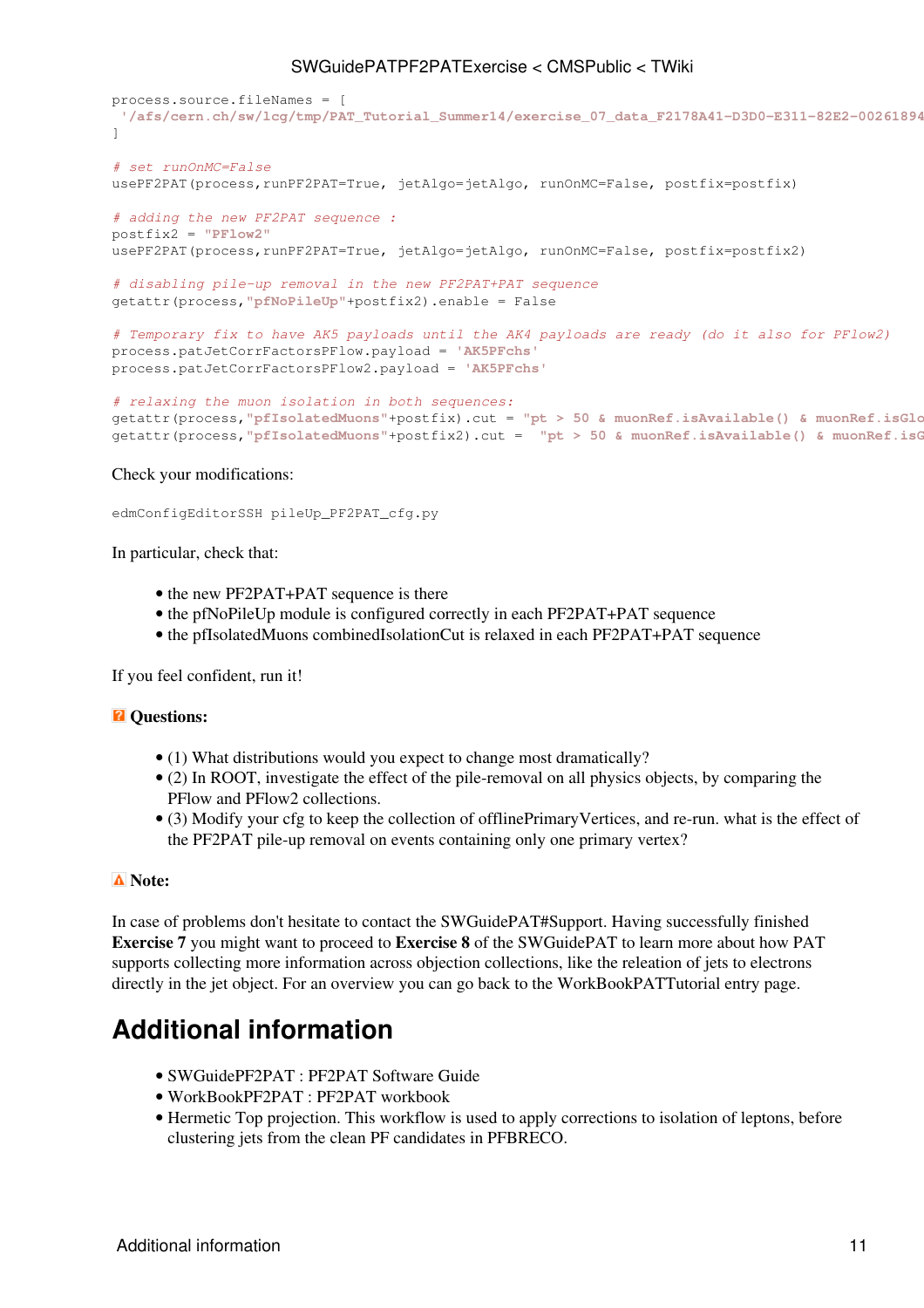```
process.source.fileNames = [ 
 '/afs/cern.ch/sw/lcg/tmp/PAT_Tutorial_Summer14/exercise_07_data_F2178A41-D3D0-E311-82E2-0026189437FE.root'
] 
# set runOnMC=False
usePF2PAT(process,runPF2PAT=True, jetAlgo=jetAlgo, runOnMC=False, postfix=postfix)
# adding the new PF2PAT sequence :
postfix2 = "PFlow2"
usePF2PAT(process,runPF2PAT=True, jetAlgo=jetAlgo, runOnMC=False, postfix=postfix2)
# disabling pile-up removal in the new PF2PAT+PAT sequence
getattr(process,"pfNoPileUp"+postfix2).enable = False
# Temporary fix to have AK5 payloads until the AK4 payloads are ready (do it also for PFlow2)
process.patJetCorrFactorsPFlow.payload = 'AK5PFchs'
process.patJetCorrFactorsPFlow2.payload = 'AK5PFchs'
# relaxing the muon isolation in both sequences:
```

```
getattr(process,"pfIsolatedMuons"+postfix).cut = "pt > 50 & muonRef.isAvailable() & muonRef.isGlobalMuon"
getattr(process,"pfIsolatedMuons"+postfix2).cut = "pt > 50 & muonRef.isAvailable() & muonRef.isGlobalMuon"
```
#### Check your modifications:

edmConfigEditorSSH pileUp\_PF2PAT\_cfg.py

In particular, check that:

- the new [PF2PAT+](https://twiki.cern.ch/twiki/bin/view/CMSPublic/PF2PAT)PAT sequence is there
- the pfNoPileUp module is configured correctly in each [PF2PAT+](https://twiki.cern.ch/twiki/bin/view/CMSPublic/PF2PAT)PAT sequence
- the pfIsolatedMuons combinedIsolationCut is relaxed in each [PF2PAT+](https://twiki.cern.ch/twiki/bin/view/CMSPublic/PF2PAT)PAT sequence

If you feel confident, run it!

#### *Q* Ouestions:

- (1) What distributions would you expect to change most dramatically?
- (2) In ROOT, investigate the effect of the pile-removal on all physics objects, by comparing the PFlow and PFlow2 collections.
- (3) Modify your cfg to keep the collection of offlinePrimaryVertices, and re-run. what is the effect of the [PF2PAT](https://twiki.cern.ch/twiki/bin/view/CMSPublic/PF2PAT) pile-up removal on events containing only one primary vertex?

#### **Note:**

In case of problems don't hesitate to contact the [SWGuidePAT#Support](https://twiki.cern.ch/twiki/bin/view/CMSPublic/SWGuidePAT#Support). Having successfully finished **Exercise 7** you might want to proceed to **[Exercise 8](https://twiki.cern.ch/twiki/bin/view/CMSPublic/SWGuidePATMCMatchingExercise)** of the [SWGuidePAT](https://twiki.cern.ch/twiki/bin/view/CMSPublic/SWGuidePAT) to learn more about how PAT supports collecting more information across objection collections, like the releation of jets to electrons directly in the jet object. For an overview you can go back to the [WorkBookPATTutorial](https://twiki.cern.ch/twiki/bin/view/CMSPublic/WorkBookPATTutorial) entry page.

## <span id="page-11-0"></span>**Additional information**

- [SWGuidePF2PAT](https://twiki.cern.ch/twiki/bin/view/CMSPublic/SWGuidePF2PAT) : [PF2PAT](https://twiki.cern.ch/twiki/bin/view/CMSPublic/PF2PAT) Software Guide
- [WorkBookPF2PAT](https://twiki.cern.ch/twiki/bin/view/CMSPublic/WorkBookPF2PAT) : [PF2PAT](https://twiki.cern.ch/twiki/bin/view/CMSPublic/PF2PAT) workbook
- [Hermetic Top projection.](https://twiki.cern.ch/twiki/bin/view/CMS/TwikiTopRefHermeticTopProjections) This workflow is used to apply corrections to isolation of leptons, before clustering jets from the clean PF candidates in PFBRECO.